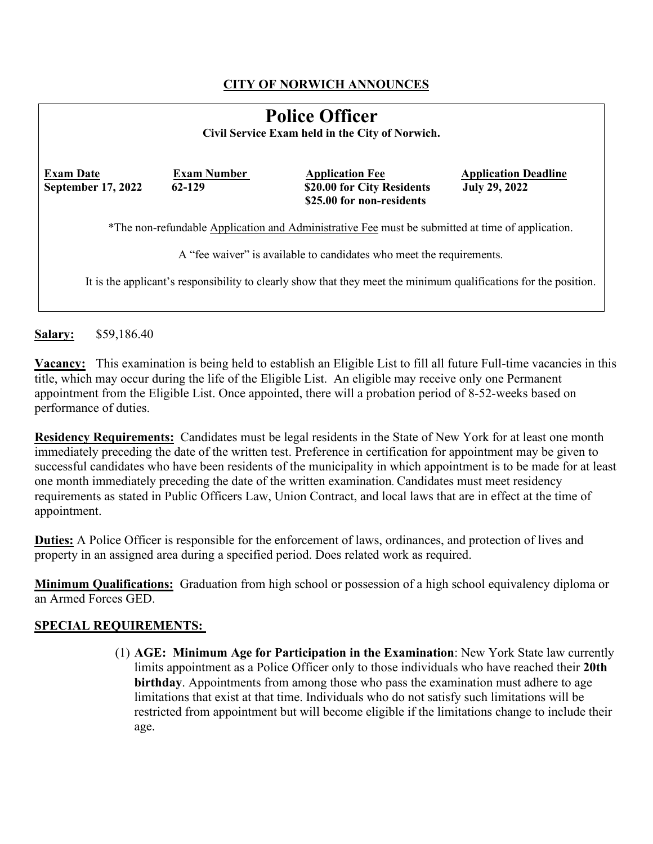## **CITY OF NORWICH ANNOUNCES**

| <b>Police Officer</b><br>Civil Service Exam held in the City of Norwich.                                         |                              |                                                                                   |                                                     |  |  |
|------------------------------------------------------------------------------------------------------------------|------------------------------|-----------------------------------------------------------------------------------|-----------------------------------------------------|--|--|
| <b>Exam Date</b><br><b>September 17, 2022</b>                                                                    | <b>Exam Number</b><br>62-129 | <b>Application Fee</b><br>\$20.00 for City Residents<br>\$25.00 for non-residents | <b>Application Deadline</b><br><b>July 29, 2022</b> |  |  |
| *The non-refundable Application and Administrative Fee must be submitted at time of application.                 |                              |                                                                                   |                                                     |  |  |
| A "fee waiver" is available to candidates who meet the requirements.                                             |                              |                                                                                   |                                                     |  |  |
| It is the applicant's responsibility to clearly show that they meet the minimum qualifications for the position. |                              |                                                                                   |                                                     |  |  |

**Salary:** \$59,186.40

**Vacancy:** This examination is being held to establish an Eligible List to fill all future Full-time vacancies in this title, which may occur during the life of the Eligible List. An eligible may receive only one Permanent appointment from the Eligible List. Once appointed, there will a probation period of 8-52-weeks based on performance of duties.

**Residency Requirements:** Candidates must be legal residents in the State of New York for at least one month immediately preceding the date of the written test. Preference in certification for appointment may be given to successful candidates who have been residents of the municipality in which appointment is to be made for at least one month immediately preceding the date of the written examination. Candidates must meet residency requirements as stated in Public Officers Law, Union Contract, and local laws that are in effect at the time of appointment.

**Duties:** A Police Officer is responsible for the enforcement of laws, ordinances, and protection of lives and property in an assigned area during a specified period. Does related work as required.

**Minimum Qualifications:** Graduation from high school or possession of a high school equivalency diploma or an Armed Forces GED.

### **SPECIAL REQUIREMENTS:**

(1) **AGE: Minimum Age for Participation in the Examination**: New York State law currently limits appointment as a Police Officer only to those individuals who have reached their **20th birthday**. Appointments from among those who pass the examination must adhere to age limitations that exist at that time. Individuals who do not satisfy such limitations will be restricted from appointment but will become eligible if the limitations change to include their age.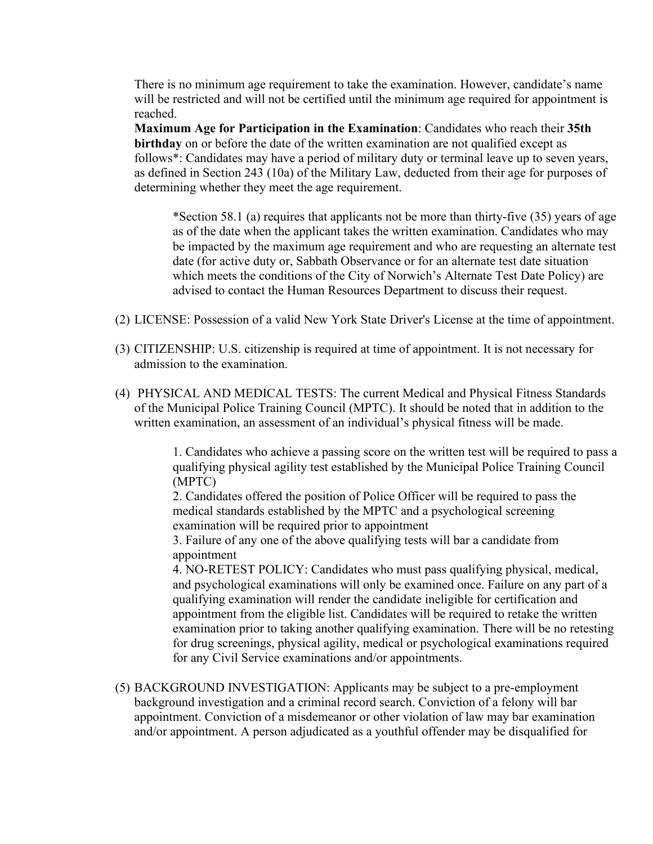There is no minimum age requirement to take the examination. However, candidate's name will be restricted and will not be certified until the minimum age required for appointment is reached.

**Maximum Age for Participation in the Examination**: Candidates who reach their **35th birthday** on or before the date of the written examination are not qualified except as follows\*: Candidates may have a period of military duty or terminal leave up to seven years, as defined in Section 243 (10a) of the Military Law, deducted from their age for purposes of determining whether they meet the age requirement.

\*Section 58.1 (a) requires that applicants not be more than thirty-five (35) years of age as of the date when the applicant takes the written examination. Candidates who may be impacted by the maximum age requirement and who are requesting an alternate test date (for active duty or, Sabbath Observance or for an alternate test date situation which meets the conditions of the City of Norwich's Alternate Test Date Policy) are advised to contact the Human Resources Department to discuss their request.

- (2) LICENSE: Possession of a valid New York State Driver's License at the time of appointment.
- (3) CITIZENSHIP: U.S. citizenship is required at time of appointment. It is not necessary for admission to the examination.
- (4) PHYSICAL AND MEDICAL TESTS: The current Medical and Physical Fitness Standards of the Municipal Police Training Council (MPTC). It should be noted that in addition to the written examination, an assessment of an individual's physical fitness will be made.

1. Candidates who achieve a passing score on the written test will be required to pass a qualifying physical agility test established by the Municipal Police Training Council (MPTC)

2. Candidates offered the position of Police Officer will be required to pass the medical standards established by the MPTC and a psychological screening examination will be required prior to appointment

3. Failure of any one of the above qualifying tests will bar a candidate from appointment

4. NO-RETEST POLICY: Candidates who must pass qualifying physical, medical, and psychological examinations will only be examined once. Failure on any part of a qualifying examination will render the candidate ineligible for certification and appointment from the eligible list. Candidates will be required to retake the written examination prior to taking another qualifying examination. There will be no retesting for drug screenings, physical agility, medical or psychological examinations required for any Civil Service examinations and/or appointments.

(5) BACKGROUND INVESTIGATION: Applicants may be subject to a pre-employment background investigation and a criminal record search. Conviction of a felony will bar appointment. Conviction of a misdemeanor or other violation of law may bar examination and/or appointment. A person adjudicated as a youthful offender may be disqualified for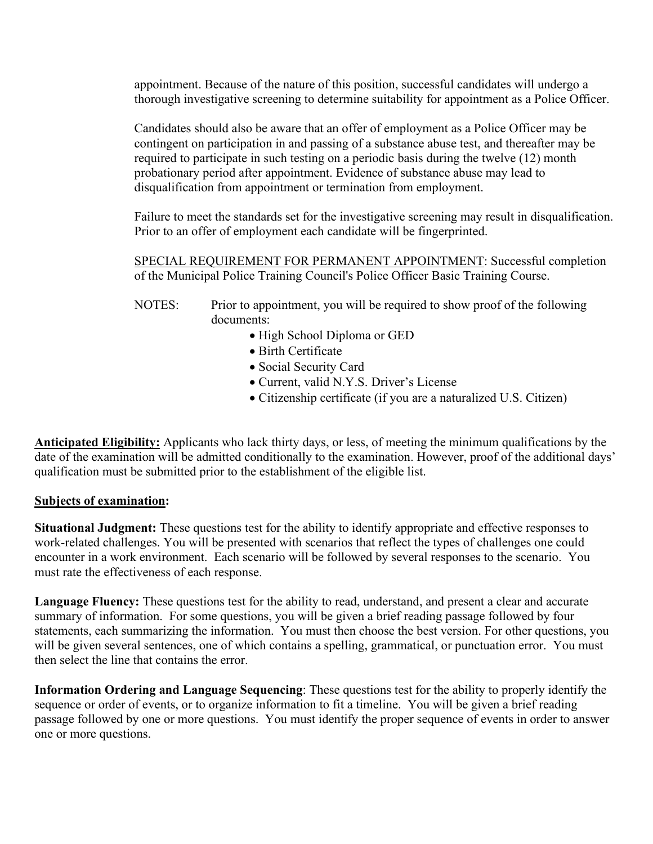appointment. Because of the nature of this position, successful candidates will undergo a thorough investigative screening to determine suitability for appointment as a Police Officer.

Candidates should also be aware that an offer of employment as a Police Officer may be contingent on participation in and passing of a substance abuse test, and thereafter may be required to participate in such testing on a periodic basis during the twelve (12) month probationary period after appointment. Evidence of substance abuse may lead to disqualification from appointment or termination from employment.

Failure to meet the standards set for the investigative screening may result in disqualification. Prior to an offer of employment each candidate will be fingerprinted.

SPECIAL REQUIREMENT FOR PERMANENT APPOINTMENT: Successful completion of the Municipal Police Training Council's Police Officer Basic Training Course.

- NOTES: Prior to appointment, you will be required to show proof of the following documents:
	- High School Diploma or GED
	- Birth Certificate
	- Social Security Card
	- Current, valid N.Y.S. Driver's License
	- Citizenship certificate (if you are a naturalized U.S. Citizen)

**Anticipated Eligibility:** Applicants who lack thirty days, or less, of meeting the minimum qualifications by the date of the examination will be admitted conditionally to the examination. However, proof of the additional days' qualification must be submitted prior to the establishment of the eligible list.

#### **Subjects of examination:**

**Situational Judgment:** These questions test for the ability to identify appropriate and effective responses to work-related challenges. You will be presented with scenarios that reflect the types of challenges one could encounter in a work environment. Each scenario will be followed by several responses to the scenario. You must rate the effectiveness of each response.

**Language Fluency:** These questions test for the ability to read, understand, and present a clear and accurate summary of information. For some questions, you will be given a brief reading passage followed by four statements, each summarizing the information. You must then choose the best version. For other questions, you will be given several sentences, one of which contains a spelling, grammatical, or punctuation error. You must then select the line that contains the error.

**Information Ordering and Language Sequencing**: These questions test for the ability to properly identify the sequence or order of events, or to organize information to fit a timeline. You will be given a brief reading passage followed by one or more questions. You must identify the proper sequence of events in order to answer one or more questions.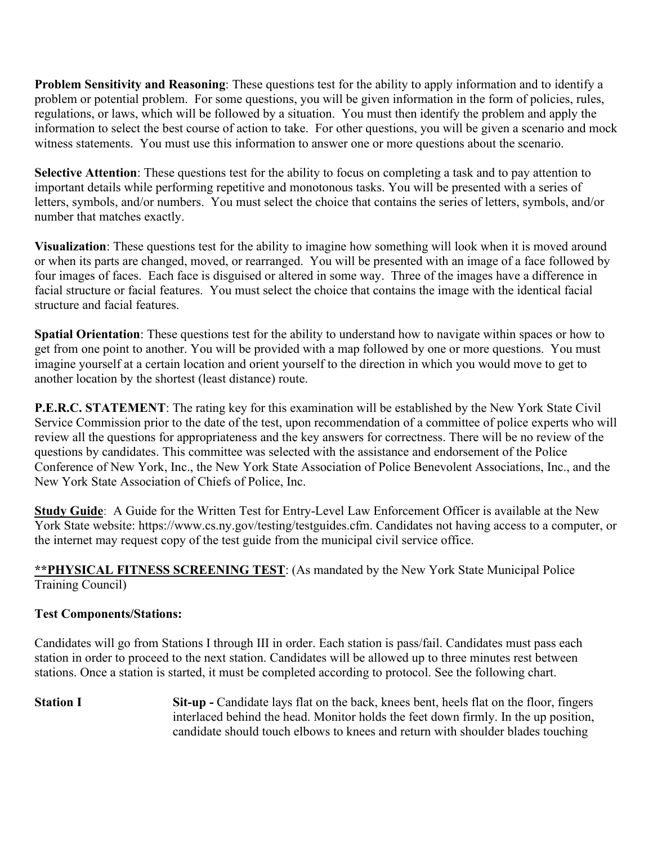**Problem Sensitivity and Reasoning**: These questions test for the ability to apply information and to identify a problem or potential problem. For some questions, you will be given information in the form of policies, rules, regulations, or laws, which will be followed by a situation. You must then identify the problem and apply the information to select the best course of action to take. For other questions, you will be given a scenario and mock witness statements. You must use this information to answer one or more questions about the scenario.

**Selective Attention**: These questions test for the ability to focus on completing a task and to pay attention to important details while performing repetitive and monotonous tasks. You will be presented with a series of letters, symbols, and/or numbers. You must select the choice that contains the series of letters, symbols, and/or number that matches exactly.

**Visualization**: These questions test for the ability to imagine how something will look when it is moved around or when its parts are changed, moved, or rearranged. You will be presented with an image of a face followed by four images of faces. Each face is disguised or altered in some way. Three of the images have a difference in facial structure or facial features. You must select the choice that contains the image with the identical facial structure and facial features.

**Spatial Orientation**: These questions test for the ability to understand how to navigate within spaces or how to get from one point to another. You will be provided with a map followed by one or more questions. You must imagine yourself at a certain location and orient yourself to the direction in which you would move to get to another location by the shortest (least distance) route.

**P.E.R.C. STATEMENT**: The rating key for this examination will be established by the New York State Civil Service Commission prior to the date of the test, upon recommendation of a committee of police experts who will review all the questions for appropriateness and the key answers for correctness. There will be no review of the questions by candidates. This committee was selected with the assistance and endorsement of the Police Conference of New York, Inc., the New York State Association of Police Benevolent Associations, Inc., and the New York State Association of Chiefs of Police, Inc.

**Study Guide**: A Guide for the Written Test for Entry-Level Law Enforcement Officer is available at the New York State website: https://www.cs.ny.gov/testing/testguides.cfm. Candidates not having access to a computer, or the internet may request copy of the test guide from the municipal civil service office.

**\*\*PHYSICAL FITNESS SCREENING TEST**: (As mandated by the New York State Municipal Police Training Council)

### **Test Components/Stations:**

Candidates will go from Stations I through III in order. Each station is pass/fail. Candidates must pass each station in order to proceed to the next station. Candidates will be allowed up to three minutes rest between stations. Once a station is started, it must be completed according to protocol. See the following chart.

**Station I** Sit-up - Candidate lays flat on the back, knees bent, heels flat on the floor, fingers interlaced behind the head. Monitor holds the feet down firmly. In the up position, candidate should touch elbows to knees and return with shoulder blades touching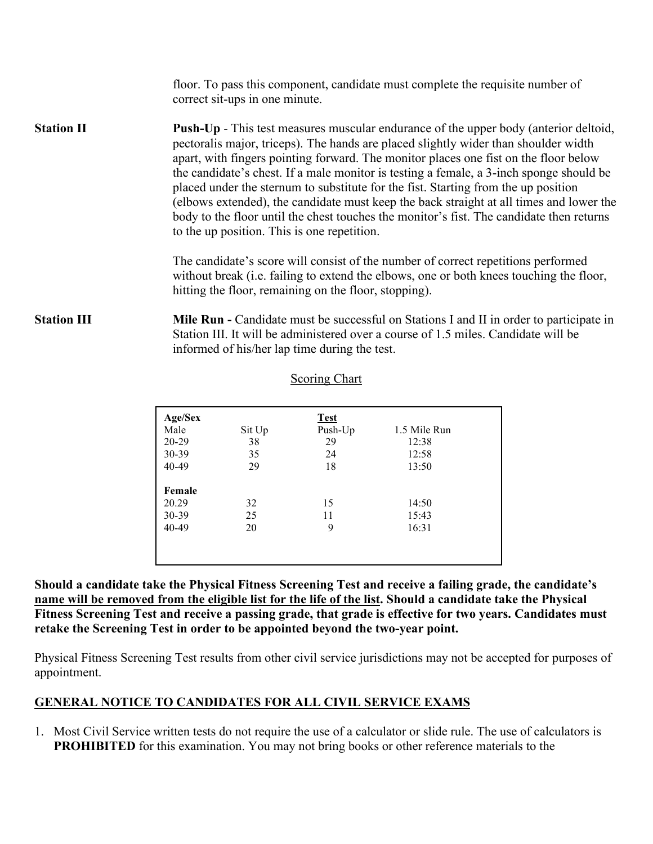|                    | floor. To pass this component, candidate must complete the requisite number of<br>correct sit-ups in one minute.                                                                                                                                                                                                                                                                                                                                                                                                                                                                                                                                                                                  |
|--------------------|---------------------------------------------------------------------------------------------------------------------------------------------------------------------------------------------------------------------------------------------------------------------------------------------------------------------------------------------------------------------------------------------------------------------------------------------------------------------------------------------------------------------------------------------------------------------------------------------------------------------------------------------------------------------------------------------------|
| <b>Station II</b>  | <b>Push-Up</b> - This test measures muscular endurance of the upper body (anterior deltoid,<br>pectoralis major, triceps). The hands are placed slightly wider than shoulder width<br>apart, with fingers pointing forward. The monitor places one fist on the floor below<br>the candidate's chest. If a male monitor is testing a female, a 3-inch sponge should be<br>placed under the sternum to substitute for the fist. Starting from the up position<br>(elbows extended), the candidate must keep the back straight at all times and lower the<br>body to the floor until the chest touches the monitor's fist. The candidate then returns<br>to the up position. This is one repetition. |
|                    | The candidate's score will consist of the number of correct repetitions performed<br>without break (i.e. failing to extend the elbows, one or both knees touching the floor,<br>hitting the floor, remaining on the floor, stopping).                                                                                                                                                                                                                                                                                                                                                                                                                                                             |
| <b>Station III</b> | <b>Mile Run - Candidate must be successful on Stations I and II in order to participate in</b><br>Station III. It will be administered over a course of 1.5 miles. Candidate will be<br>informed of his/her lap time during the test.                                                                                                                                                                                                                                                                                                                                                                                                                                                             |
|                    | Scoring Chart                                                                                                                                                                                                                                                                                                                                                                                                                                                                                                                                                                                                                                                                                     |

| Age/Sex |        | <b>Test</b> |              |
|---------|--------|-------------|--------------|
| Male    | Sit Up | Push-Up     | 1.5 Mile Run |
| 20-29   | 38     | 29          | 12:38        |
| 30-39   | 35     | 24          | 12:58        |
| 40-49   | 29     | 18          | 13:50        |
| Female  |        |             |              |
| 20.29   | 32     | 15          | 14:50        |
| $30-39$ | 25     | 11          | 15:43        |
| 40-49   | 20     | 9           | 16:31        |
|         |        |             |              |
|         |        |             |              |
|         |        |             |              |

**Should a candidate take the Physical Fitness Screening Test and receive a failing grade, the candidate's name will be removed from the eligible list for the life of the list. Should a candidate take the Physical Fitness Screening Test and receive a passing grade, that grade is effective for two years. Candidates must retake the Screening Test in order to be appointed beyond the two-year point.** 

Physical Fitness Screening Test results from other civil service jurisdictions may not be accepted for purposes of appointment.

### **GENERAL NOTICE TO CANDIDATES FOR ALL CIVIL SERVICE EXAMS**

1. Most Civil Service written tests do not require the use of a calculator or slide rule. The use of calculators is **PROHIBITED** for this examination. You may not bring books or other reference materials to the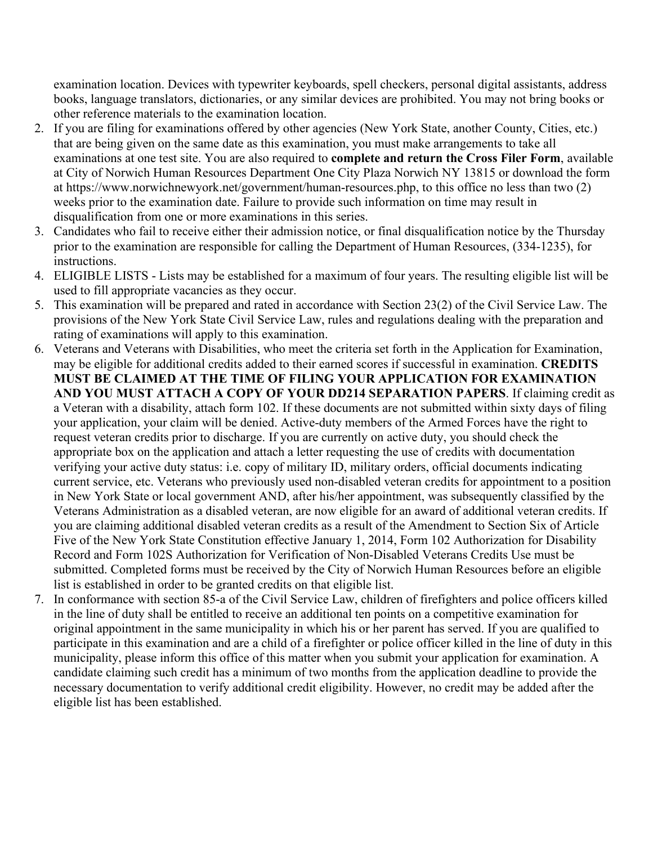examination location. Devices with typewriter keyboards, spell checkers, personal digital assistants, address books, language translators, dictionaries, or any similar devices are prohibited. You may not bring books or other reference materials to the examination location.

- 2. If you are filing for examinations offered by other agencies (New York State, another County, Cities, etc.) that are being given on the same date as this examination, you must make arrangements to take all examinations at one test site. You are also required to **complete and return the Cross Filer Form**, available at City of Norwich Human Resources Department One City Plaza Norwich NY 13815 or download the form at https://www.norwichnewyork.net/government/human-resources.php, to this office no less than two (2) weeks prior to the examination date. Failure to provide such information on time may result in disqualification from one or more examinations in this series.
- 3. Candidates who fail to receive either their admission notice, or final disqualification notice by the Thursday prior to the examination are responsible for calling the Department of Human Resources, (334-1235), for instructions.
- 4. ELIGIBLE LISTS Lists may be established for a maximum of four years. The resulting eligible list will be used to fill appropriate vacancies as they occur.
- 5. This examination will be prepared and rated in accordance with Section 23(2) of the Civil Service Law. The provisions of the New York State Civil Service Law, rules and regulations dealing with the preparation and rating of examinations will apply to this examination.
- 6. Veterans and Veterans with Disabilities, who meet the criteria set forth in the Application for Examination, may be eligible for additional credits added to their earned scores if successful in examination. **CREDITS MUST BE CLAIMED AT THE TIME OF FILING YOUR APPLICATION FOR EXAMINATION AND YOU MUST ATTACH A COPY OF YOUR DD214 SEPARATION PAPERS**. If claiming credit as a Veteran with a disability, attach form 102. If these documents are not submitted within sixty days of filing your application, your claim will be denied. Active-duty members of the Armed Forces have the right to request veteran credits prior to discharge. If you are currently on active duty, you should check the appropriate box on the application and attach a letter requesting the use of credits with documentation verifying your active duty status: i.e. copy of military ID, military orders, official documents indicating current service, etc. Veterans who previously used non-disabled veteran credits for appointment to a position in New York State or local government AND, after his/her appointment, was subsequently classified by the Veterans Administration as a disabled veteran, are now eligible for an award of additional veteran credits. If you are claiming additional disabled veteran credits as a result of the Amendment to Section Six of Article Five of the New York State Constitution effective January 1, 2014, Form 102 Authorization for Disability Record and Form 102S Authorization for Verification of Non-Disabled Veterans Credits Use must be submitted. Completed forms must be received by the City of Norwich Human Resources before an eligible list is established in order to be granted credits on that eligible list.
- 7. In conformance with section 85-a of the Civil Service Law, children of firefighters and police officers killed in the line of duty shall be entitled to receive an additional ten points on a competitive examination for original appointment in the same municipality in which his or her parent has served. If you are qualified to participate in this examination and are a child of a firefighter or police officer killed in the line of duty in this municipality, please inform this office of this matter when you submit your application for examination. A candidate claiming such credit has a minimum of two months from the application deadline to provide the necessary documentation to verify additional credit eligibility. However, no credit may be added after the eligible list has been established.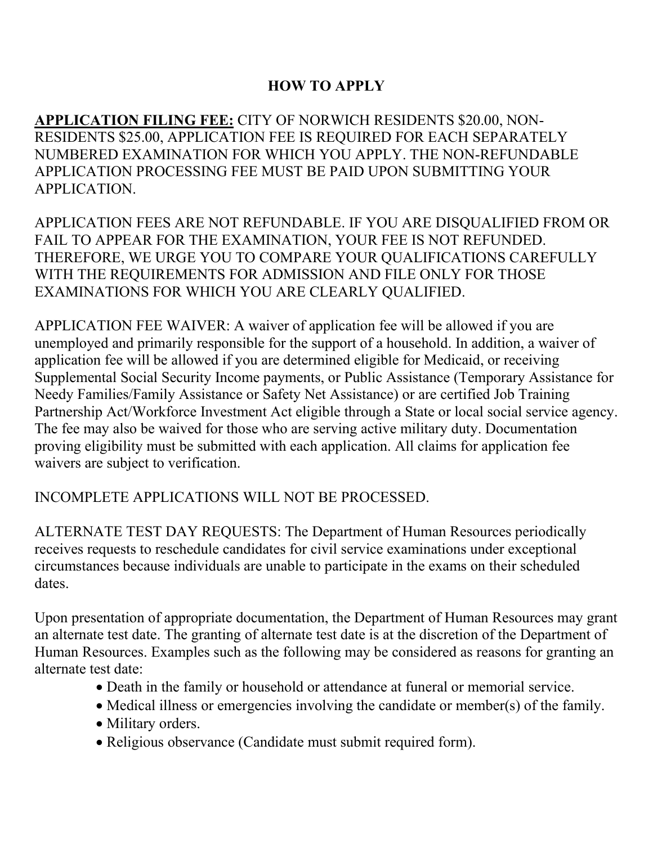# **HOW TO APPLY**

**APPLICATION FILING FEE:** CITY OF NORWICH RESIDENTS \$20.00, NON-RESIDENTS \$25.00, APPLICATION FEE IS REQUIRED FOR EACH SEPARATELY NUMBERED EXAMINATION FOR WHICH YOU APPLY. THE NON-REFUNDABLE APPLICATION PROCESSING FEE MUST BE PAID UPON SUBMITTING YOUR APPLICATION.

APPLICATION FEES ARE NOT REFUNDABLE. IF YOU ARE DISQUALIFIED FROM OR FAIL TO APPEAR FOR THE EXAMINATION, YOUR FEE IS NOT REFUNDED. THEREFORE, WE URGE YOU TO COMPARE YOUR QUALIFICATIONS CAREFULLY WITH THE REQUIREMENTS FOR ADMISSION AND FILE ONLY FOR THOSE EXAMINATIONS FOR WHICH YOU ARE CLEARLY QUALIFIED.

APPLICATION FEE WAIVER: A waiver of application fee will be allowed if you are unemployed and primarily responsible for the support of a household. In addition, a waiver of application fee will be allowed if you are determined eligible for Medicaid, or receiving Supplemental Social Security Income payments, or Public Assistance (Temporary Assistance for Needy Families/Family Assistance or Safety Net Assistance) or are certified Job Training Partnership Act/Workforce Investment Act eligible through a State or local social service agency. The fee may also be waived for those who are serving active military duty. Documentation proving eligibility must be submitted with each application. All claims for application fee waivers are subject to verification.

## INCOMPLETE APPLICATIONS WILL NOT BE PROCESSED.

ALTERNATE TEST DAY REQUESTS: The Department of Human Resources periodically receives requests to reschedule candidates for civil service examinations under exceptional circumstances because individuals are unable to participate in the exams on their scheduled dates.

Upon presentation of appropriate documentation, the Department of Human Resources may grant an alternate test date. The granting of alternate test date is at the discretion of the Department of Human Resources. Examples such as the following may be considered as reasons for granting an alternate test date:

- Death in the family or household or attendance at funeral or memorial service.
- Medical illness or emergencies involving the candidate or member(s) of the family.
- Military orders.
- Religious observance (Candidate must submit required form).